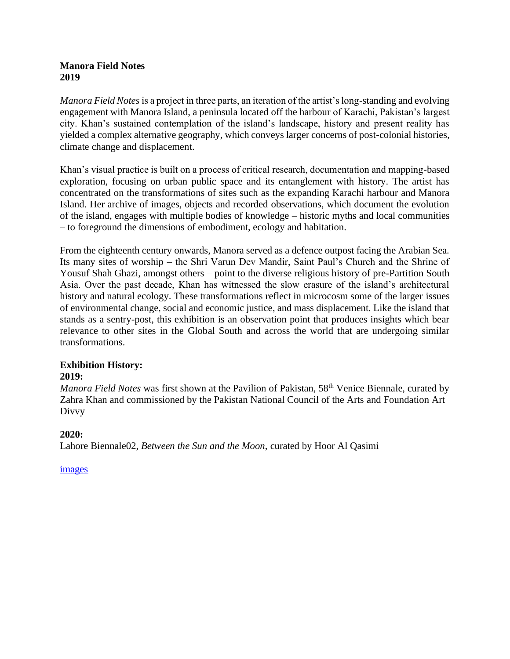## **Manora Field Notes 2019**

*Manora Field Notes* is a project in three parts, an iteration of the artist's long-standing and evolving engagement with Manora Island, a peninsula located off the harbour of Karachi, Pakistan's largest city. Khan's sustained contemplation of the island's landscape, history and present reality has yielded a complex alternative geography, which conveys larger concerns of post-colonial histories, climate change and displacement.

Khan's visual practice is built on a process of critical research, documentation and mapping-based exploration, focusing on urban public space and its entanglement with history. The artist has concentrated on the transformations of sites such as the expanding Karachi harbour and Manora Island. Her archive of images, objects and recorded observations, which document the evolution of the island, engages with multiple bodies of knowledge – historic myths and local communities – to foreground the dimensions of embodiment, ecology and habitation.

From the eighteenth century onwards, Manora served as a defence outpost facing the Arabian Sea. Its many sites of worship – the Shri Varun Dev Mandir, Saint Paul's Church and the Shrine of Yousuf Shah Ghazi, amongst others – point to the diverse religious history of pre-Partition South Asia. Over the past decade, Khan has witnessed the slow erasure of the island's architectural history and natural ecology. These transformations reflect in microcosm some of the larger issues of environmental change, social and economic justice, and mass displacement. Like the island that stands as a sentry-post, this exhibition is an observation point that produces insights which bear relevance to other sites in the Global South and across the world that are undergoing similar transformations.

#### **Exhibition History: 2019:**

*Manora Field Notes* was first shown at the Pavilion of Pakistan, 58<sup>th</sup> Venice Biennale, curated by Zahra Khan and commissioned by the Pakistan National Council of the Arts and Foundation Art Divvy

# **2020:**

Lahore Biennale02, *Between the Sun and the Moon*, curated by Hoor Al Qasimi

# [images](https://www.naizakhan.com/manora-field-notes/?i=1020)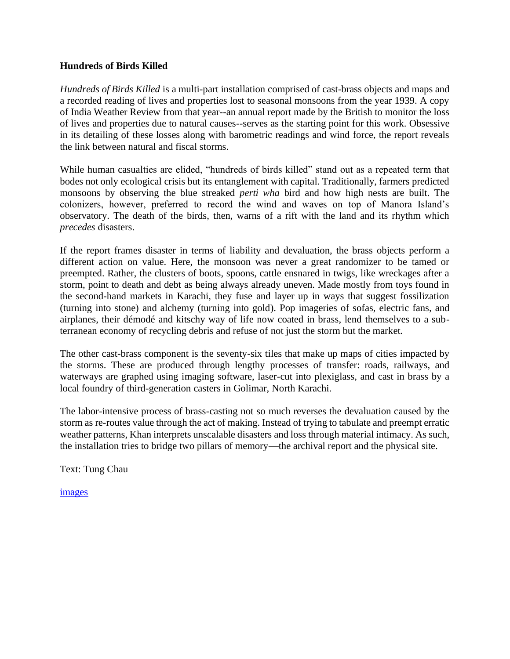## **Hundreds of Birds Killed**

*Hundreds of Birds Killed* is a multi-part installation comprised of cast-brass objects and maps and a recorded reading of lives and properties lost to seasonal monsoons from the year 1939. A copy of India Weather Review from that year--an annual report made by the British to monitor the loss of lives and properties due to natural causes--serves as the starting point for this work. Obsessive in its detailing of these losses along with barometric readings and wind force, the report reveals the link between natural and fiscal storms.

While human casualties are elided, "hundreds of birds killed" stand out as a repeated term that bodes not only ecological crisis but its entanglement with capital. Traditionally, farmers predicted monsoons by observing the blue streaked *perti wha* bird and how high nests are built. The colonizers, however, preferred to record the wind and waves on top of Manora Island's observatory. The death of the birds, then, warns of a rift with the land and its rhythm which *precedes* disasters.

If the report frames disaster in terms of liability and devaluation, the brass objects perform a different action on value. Here, the monsoon was never a great randomizer to be tamed or preempted. Rather, the clusters of boots, spoons, cattle ensnared in twigs, like wreckages after a storm, point to death and debt as being always already uneven. Made mostly from toys found in the second-hand markets in Karachi, they fuse and layer up in ways that suggest fossilization (turning into stone) and alchemy (turning into gold). Pop imageries of sofas, electric fans, and airplanes, their démodé and kitschy way of life now coated in brass, lend themselves to a subterranean economy of recycling debris and refuse of not just the storm but the market.

The other cast-brass component is the seventy-six tiles that make up maps of cities impacted by the storms. These are produced through lengthy processes of transfer: roads, railways, and waterways are graphed using imaging software, laser-cut into plexiglass, and cast in brass by a local foundry of third-generation casters in Golimar, North Karachi.

The labor-intensive process of brass-casting not so much reverses the devaluation caused by the storm as re-routes value through the act of making. Instead of trying to tabulate and preempt erratic weather patterns, Khan interprets unscalable disasters and loss through material intimacy. As such, the installation tries to bridge two pillars of memory—the archival report and the physical site.

Text: Tung Chau

[images](https://www.naizakhan.com/manora-field-notes/?i=1020)